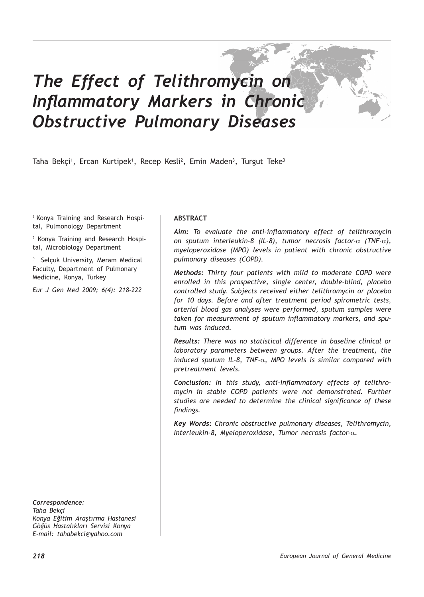# *The Effect of Telithromycin on Inflammatory Markers in Chronic Obstructive Pulmonary Diseases*

Taha Bekçi<sup>1</sup>, Ercan Kurtipek<sup>1</sup>, Recep Kesli<sup>2</sup>, Emin Maden<sup>3</sup>, Turgut Teke<sup>3</sup>

*1* Konya Training and Research Hospital, Pulmonology Department

2 Konya Training and Research Hospital, Microbiology Department

*3* Selçuk University, Meram Medical Faculty, Department of Pulmonary Medicine, Konya, Turkey

*Eur J Gen Med 2009; 6(4): 218-222*

*Correspondence: Taha Bekçi Konya Eğitim Araştırma Hastanesi Göğüs Hastalıkları Servisi Konya E-mail: tahabekci@yahoo.com*

## **ABSTRACT**

*Aim: To evaluate the anti-inflammatory effect of telithromycin on sputum interleukin-8 (IL-8), tumor necrosis factor-*α *(TNF-*α*), myeloperoxidase (MPO) levels in patient with chronic obstructive pulmonary diseases (COPD).*

*Methods: Thirty four patients with mild to moderate COPD were enrolled in this prospective, single center, double-blind, placebo controlled study. Subjects received either telithromycin or placebo for 10 days. Before and after treatment period spirometric tests, arterial blood gas analyses were performed, sputum samples were taken for measurement of sputum inflammatory markers, and sputum was induced.*

*Results: There was no statistical difference in baseline clinical or laboratory parameters between groups. After the treatment, the induced sputum IL-8, TNF-*α*, MPO levels is similar compared with pretreatment levels.*

*Conclusion: In this study, anti-inflammatory effects of telithromycin in stable COPD patients were not demonstrated. Further studies are needed to determine the clinical significance of these findings.*

*Key Words: Chronic obstructive pulmonary diseases, Telithromycin, Interleukin-8, Myeloperoxidase, Tumor necrosis factor-*α*.*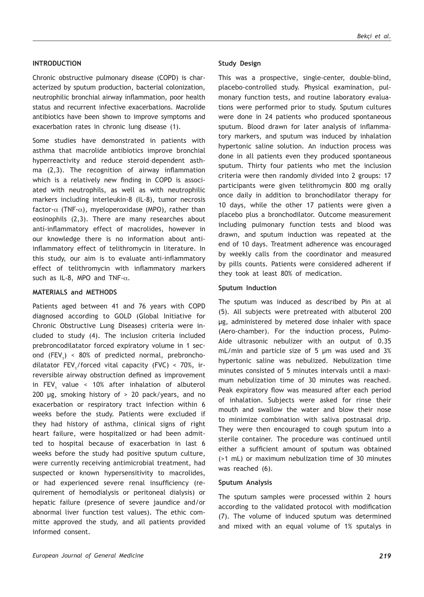## **INTRODUCTION**

Chronic obstructive pulmonary disease (COPD) is characterized by sputum production, bacterial colonization, neutrophilic bronchial airway inflammation, poor health status and recurrent infective exacerbations. Macrolide antibiotics have been shown to improve symptoms and exacerbation rates in chronic lung disease (1).

Some studies have demonstrated in patients with asthma that macrolide antibiotics improve bronchial hyperreactivity and reduce steroid–dependent asthma (2,3). The recognition of airway inflammation which is a relatively new finding in COPD is associated with neutrophils, as well as with neutrophilic markers including interleukin-8 (IL-8), tumor necrosis factor- $\alpha$  (TNF- $\alpha$ ), myeloperoxidase (MPO), rather than eosinophils (2,3). There are many researches about anti-inflammatory effect of macrolides, however in our knowledge there is no information about antiinflammatory effect of telithromycin in literature. In this study, our aim is to evaluate anti-inflammatory effect of telithromycin with inflammatory markers such as IL-8, MPO and TNF- $\alpha$ .

#### **MATERIALS and METHODS**

Patients aged between 41 and 76 years with COPD diagnosed according to GOLD (Global Initiative for Chronic Obstructive Lung Diseases) criteria were included to study (4). The inclusion criteria included prebroncodilatator forced expiratory volume in 1 second  $(FEV_{1})$  < 80% of predicted normal, prebronchodilatator  $\text{FEV}_1/\text{forced}$  vital capacity (FVC) < 70%, irreversible airway obstruction defined as improvement in FEV<sub>1</sub> value < 10% after inhalation of albuterol 200 µg, smoking history of > 20 pack/years, and no exacerbation or respiratory tract infection within 6 weeks before the study. Patients were excluded if they had history of asthma, clinical signs of right heart failure, were hospitalized or had been admitted to hospital because of exacerbation in last 6 weeks before the study had positive sputum culture, were currently receiving antimicrobial treatment, had suspected or known hypersensitivity to macrolides, or had experienced severe renal insufficiency (requirement of hemodialysis or peritoneal dialysis) or hepatic failure (presence of severe jaundice and/or abnormal liver function test values). The ethic committe approved the study, and all patients provided informed consent.

#### **Study Design**

This was a prospective, single-center, double-blind, placebo-controlled study. Physical examination, pulmonary function tests, and routine laboratory evaluations were performed prior to study. Sputum cultures were done in 24 patients who produced spontaneous sputum. Blood drawn for later analysis of inflammatory markers, and sputum was induced by inhalation hypertonic saline solution. An induction process was done in all patients even they produced spontaneous sputum. Thirty four patients who met the inclusion criteria were then randomly divided into 2 groups: 17 participants were given telithromycin 800 mg orally once daily in addition to bronchodilator therapy for 10 days, while the other 17 patients were given a placebo plus a bronchodilator. Outcome measurement including pulmonary function tests and blood was drawn, and sputum induction was repeated at the end of 10 days. Treatment adherence was encouraged by weekly calls from the coordinator and measured by pills counts. Patients were considered adherent if they took at least 80% of medication.

#### **Sputum Induction**

The sputum was induced as described by Pin at al (5). All subjects were pretreated with albuterol 200 µg, administered by metered dose inhaler with space (Aero-chamber). For the induction process, Pulmo-Aide ultrasonic nebulizer with an output of 0.35 mL/min and particle size of 5 µm was used and 3% hypertonic saline was nebulized. Nebulization time minutes consisted of 5 minutes intervals until a maximum nebulization time of 30 minutes was reached. Peak expiratory flow was measured after each period of inhalation. Subjects were asked for rinse their mouth and swallow the water and blow their nose to minimize combination with saliva postnasal drip. They were then encouraged to cough sputum into a sterile container. The procedure was continued until either a sufficient amount of sputum was obtained (>1 mL) or maximum nebulization time of 30 minutes was reached (6).

#### **Sputum Analysis**

The sputum samples were processed within 2 hours according to the validated protocol with modification (7). The volume of induced sputum was determined and mixed with an equal volume of 1% sputalys in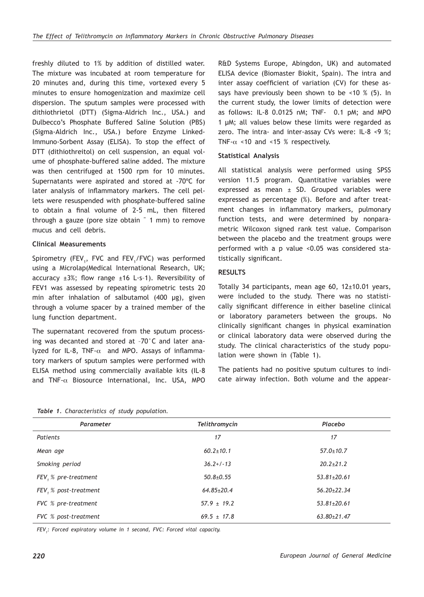freshly diluted to 1% by addition of distilled water. The mixture was incubated at room temperature for 20 minutes and, during this time, vortexed every 5 minutes to ensure homogenization and maximize cell dispersion. The sputum samples were processed with dithiothrietol (DTT) (Sigma-Aldrich Inc., USA.) and Dulbecco's Phosphate Buffered Saline Solution (PBS) (Sigma-Aldrich Inc., USA.) before Enzyme Linked-Immuno-Sorbent Assay (ELISA). To stop the effect of DTT (dithiothreitol) on cell suspension, an equal volume of phosphate-buffered saline added. The mixture was then centrifuged at 1500 rpm for 10 minutes. Supernatants were aspirated and stored at -70ºC for later analysis of inflammatory markers. The cell pellets were resuspended with phosphate-buffered saline to obtain a final volume of 2-5 mL, then filtered through a gauze (pore size obtain ˜ 1 mm) to remove mucus and cell debris.

# **Clinical Measurements**

Spirometry (FEV<sub>1</sub>, FVC and FEV<sub>1</sub>/FVC) was performed using a Microlap(Medical International Research, UK; accuracy  $\pm 3\%$ ; flow range  $\pm 16$  L·s-1). Reversibility of FEV1 was assessed by repeating spirometric tests 20 min after inhalation of salbutamol (400 µg), given through a volume spacer by a trained member of the lung function department.

The supernatant recovered from the sputum processing was decanted and stored at –70°C and later analyzed for IL-8, TNF- $\alpha$  and MPO. Assays of inflammatory markers of sputum samples were performed with ELISA method using commercially available kits (IL-8 and TNF-α Biosource International, Inc. USA, MPO R&D Systems Europe, Abingdon, UK) and automated ELISA device (Biomaster Biokit, Spain). The intra and inter assay coefficient of variation (CV) for these assays have previously been shown to be <10 % (5). In the current study, the lower limits of detection were as follows: IL-8 0.0125 nM; TNF- 0.1 pM; and MPO 1 µM; all values below these limits were regarded as zero. The intra- and inter-assay CVs were: IL-8 <9 %; TNF- $\alpha$  <10 and <15 % respectively.

## **Statistical Analysis**

All statistical analysis were performed using SPSS version 11.5 program. Quantitative variables were expressed as mean ± SD. Grouped variables were expressed as percentage (%). Before and after treatment changes in inflammatory markers, pulmonary function tests, and were determined by nonparametric Wilcoxon signed rank test value. Comparison between the placebo and the treatment groups were performed with a p value <0.05 was considered statistically significant.

# **RESULTS**

Totally 34 participants, mean age 60, 12±10.01 years, were included to the study. There was no statistically significant difference in either baseline clinical or laboratory parameters between the groups. No clinically significant changes in physical examination or clinical laboratory data were observed during the study. The clinical characteristics of the study population were shown in (Table 1).

The patients had no positive sputum cultures to indicate airway infection. Both volume and the appear-

| Parameter              | Telithromycin    | Placebo           |  |
|------------------------|------------------|-------------------|--|
| <b>Patients</b>        | 17               | 17                |  |
| Mean age               | $60.2 \pm 10.1$  | $57.0 \pm 10.7$   |  |
| Smoking period         | $36.2+/-13$      | $20.2 \pm 21.2$   |  |
| $FEV, % pre-treatment$ | $50.8{\pm}0.55$  | $53.81 \pm 20.61$ |  |
| FEV, % post-treatment  | $64.85 \pm 20.4$ | $56.20 \pm 22.34$ |  |
| FVC % pre-treatment    | $57.9 \pm 19.2$  | $53.81 \pm 20.61$ |  |
| FVC % post-treatment   | $69.5 \pm 17.8$  | $63.80 \pm 21.47$ |  |

*FEV<sup>1</sup> : Forced expiratory volume in 1 second, FVC: Forced vital capacity.*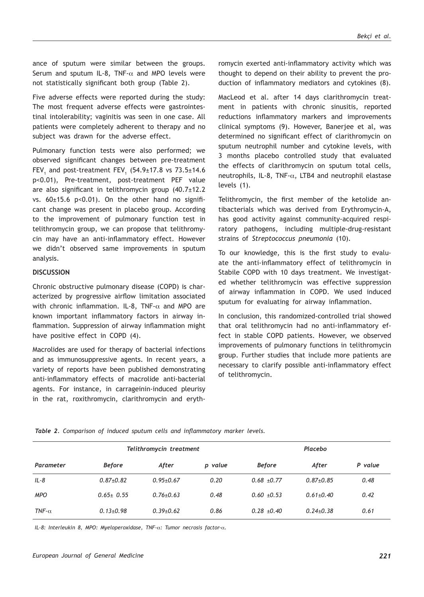ance of sputum were similar between the groups. Serum and sputum IL-8, TNF- $\alpha$  and MPO levels were not statistically significant both group (Table 2).

Five adverse effects were reported during the study: The most frequent adverse effects were gastrointestinal intolerability; vaginitis was seen in one case. All patients were completely adherent to therapy and no subject was drawn for the adverse effect.

Pulmonary function tests were also performed; we observed significant changes between pre-treatment FEV $_{\rm 1}$  and post-treatment FEV $_{\rm 1}$  (54.9±17.8 vs 73.5±14.6 p<0.01), Pre-treatment, post-treatment PEF value are also significant in telithromycin group (40.7±12.2 vs. 60±15.6 p<0.01). On the other hand no significant change was present in placebo group. According to the improvement of pulmonary function test in telithromycin group, we can propose that telithromycin may have an anti-inflammatory effect. However we didn't observed same improvements in sputum analysis.

#### **DISCUSSION**

Chronic obstructive pulmonary disease (COPD) is characterized by progressive airflow limitation associated with chronic inflammation. IL-8, TNF- $\alpha$  and MPO are known important inflammatory factors in airway inflammation. Suppression of airway inflammation might have positive effect in COPD (4).

Macrolides are used for therapy of bacterial infections and as immunosuppressive agents. In recent years, a variety of reports have been published demonstrating anti-inflammatory effects of macrolide anti-bacterial agents. For instance, in carrageinin-induced pleurisy in the rat, roxithromycin, clarithromycin and erythromycin exerted anti-inflammatory activity which was thought to depend on their ability to prevent the production of inflammatory mediators and cytokines (8).

MacLeod et al. after 14 days clarithromycin treatment in patients with chronic sinusitis, reported reductions inflammatory markers and improvements clinical symptoms (9). However, Banerjee et al, was determined no significant effect of clarithromycin on sputum neutrophil number and cytokine levels, with 3 months placebo controlled study that evaluated the effects of clarithromycin on sputum total cells, neutrophils, IL-8, TNF- $\alpha$ , LTB4 and neutrophil elastase levels (1).

Telithromycin, the first member of the ketolide antibacterials which was derived from Erythromycin-A, has good activity against community-acquired respiratory pathogens, including multiple-drug-resistant strains of *Streptococcus pneumonia* (10).

To our knowledge, this is the first study to evaluate the anti-inflammatory effect of telithromycin in Stabile COPD with 10 days treatment. We investigated whether telithromycin was effective suppression of airway inflammation in COPD. We used induced sputum for evaluating for airway inflammation.

In conclusion, this randomized-controlled trial showed that oral telithromycin had no anti-inflammatory effect in stable COPD patients. However, we observed improvements of pulmonary functions in telithromycin group. Further studies that include more patients are necessary to clarify possible anti-inflammatory effect of telithromycin.

*Table 2. Comparison of induced sputum cells and inflammatory marker levels.*

|                  |                 | Telithromycin treatment |         |                 | Placebo         |         |  |
|------------------|-----------------|-------------------------|---------|-----------------|-----------------|---------|--|
| Parameter        | <b>Before</b>   | After                   | p value | <b>Before</b>   | After           | P value |  |
| $IL-8$           | $0.87{\pm}0.82$ | $0.95 + 0.67$           | 0.20    | $0.68 + 0.77$   | $0.87 + 0.85$   | 0.48    |  |
| <b>MPO</b>       | $0.65 \pm 0.55$ | $0.76 + 0.63$           | 0.48    | $0.60 + 0.53$   | $0.61 \pm 0.40$ | 0.42    |  |
| $TNF$ - $\alpha$ | $0.13+0.98$     | $0.39 + 0.62$           | 0.86    | $0.28 \pm 0.40$ | $0.24 + 0.38$   | 0.61    |  |

*IL-8: Interleukin 8, MPO: Myeloperoxidase, TNF-*α*: Tumor necrosis factor-*α*.*